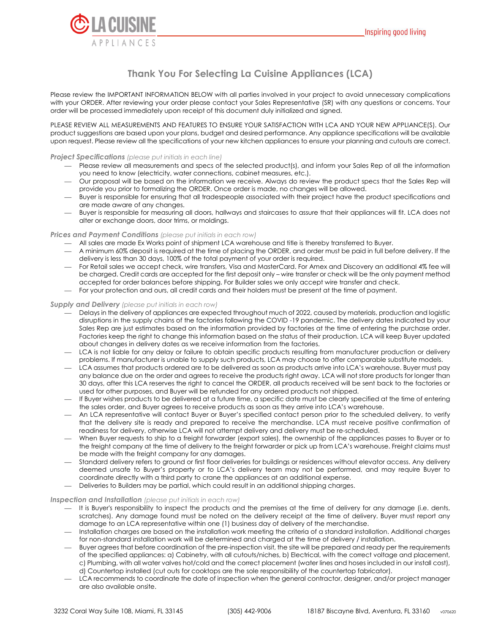

# **Thank You For Selecting La Cuisine Appliances (LCA)**

Please review the IMPORTANT INFORMATION BELOW with all parties involved in your project to avoid unnecessary complications with your ORDER. After reviewing your order please contact your Sales Representative (SR) with any questions or concerns. Your order will be processed immediately upon receipt of this document duly initialized and signed.

PLEASE REVIEW ALL MEASUREMENTS AND FEATURES TO ENSURE YOUR SATISFACTION WITH LCA AND YOUR NEW APPLIANCE(S). Our product suggestions are based upon your plans, budget and desired performance. Any appliance specifications will be available upon request. Please review all the specifications of your new kitchen appliances to ensure your planning and cutouts are correct.

## *Project Specifications (please put initials in each line)*

- Please review all measurements and specs of the selected product(s), and inform your Sales Rep of all the information you need to know (electricity, water connections, cabinet measures, etc.).
- Our proposal will be based on the information we receive. Always do review the product specs that the Sales Rep will provide you prior to formalizing the ORDER. Once order is made, no changes will be allowed.
- Buyer is responsible for ensuring that all tradespeople associated with their project have the product specifications and are made aware of any changes.
- Buyer is responsible for measuring all doors, hallways and staircases to assure that their appliances will fit. LCA does not alter or exchange doors, door trims, or moldings.

## *Prices and Payment Conditions (please put initials in each row)*

- All sales are made Ex Works point of shipment LCA warehouse and title is thereby transferred to Buyer.
- A minimum 60% deposit is required at the time of placing the ORDER, and order must be paid in full before delivery. If the delivery is less than 30 days, 100% of the total payment of your order is required.
- For Retail sales we accept check, wire transfers, Visa and MasterCard. For Amex and Discovery an additional 4% fee will be charged. Credit cards are accepted for the first deposit only – wire transfer or check will be the only payment method accepted for order balances before shipping. For Builder sales we only accept wire transfer and check.
- For your protection and ours, all credit cards and their holders must be present at the time of payment.

### *Supply and Delivery (please put initials in each row)*

- Delays in the delivery of appliances are expected throughout much of 2022, caused by materials, production and logistic disruptions in the supply chains of the factories following the COVID -19 pandemic. The delivery dates indicated by your Sales Rep are just estimates based on the information provided by factories at the time of entering the purchase order. Factories keep the right to change this information based on the status of their production. LCA will keep Buyer updated about changes in delivery dates as we receive information from the factories.
- LCA is not liable for any delay or failure to obtain specific products resulting from manufacturer production or delivery problems. If manufacturer is unable to supply such products, LCA may choose to offer comparable substitute models.
- LCA assumes that products ordered are to be delivered as soon as products arrive into LCA's warehouse. Buyer must pay any balance due on the order and agrees to receive the products right away. LCA will not store products for longer than 30 days, after this LCA reserves the right to cancel the ORDER, all products received will be sent back to the factories or used for other purposes, and Buyer will be refunded for any ordered products not shipped.
- If Buyer wishes products to be delivered at a future time, a specific date must be clearly specified at the time of entering the sales order, and Buyer agrees to receive products as soon as they arrive into LCA's warehouse.
- An LCA representative will contact Buyer or Buyer's specified contact person prior to the scheduled delivery, to verify that the delivery site is ready and prepared to receive the merchandise. LCA must receive positive confirmation of readiness for delivery, otherwise LCA will not attempt delivery and delivery must be re-scheduled.
- When Buyer requests to ship to a freight forwarder (export sales), the ownership of the appliances passes to Buyer or to the freight company at the time of delivery to the freight forwarder or pick up from LCA's warehouse. Freight claims must be made with the freight company for any damages.
- Standard delivery refers to ground or first floor deliveries for buildings or residences without elevator access. Any delivery deemed unsafe to Buyer's property or to LCA's delivery team may not be performed, and may require Buyer to coordinate directly with a third party to crane the appliances at an additional expense.
- Deliveries to Builders may be partial, which could result in an additional shipping charges.

### *Inspection and Installation (please put initials in each row)*

- It is Buyer's responsibility to inspect the products and the premises at the time of delivery for any damage (i.e. dents, scratches). Any damage found must be noted on the delivery receipt at the time of delivery. Buyer must report any damage to an LCA representative within one (1) business day of delivery of the merchandise.
- Installation charges are based on the installation work meeting the criteria of a standard installation. Additional charges for non-standard installation work will be determined and charged at the time of delivery / installation.
- Buyer agrees that before coordination of the pre-inspection visit, the site will be prepared and ready per the requirements of the specified appliances: a) Cabinetry, with all cutouts/niches, b) Electrical, with the correct voltage and placement, c) Plumbing, with all water valves hot/cold and the correct placement (water lines and hoses included in our install cost), d) Countertop installed (cut outs for cooktops are the sole responsibility of the countertop fabricator).
- LCA recommends to coordinate the date of inspection when the general contractor, designer, and/or project manager are also available onsite.